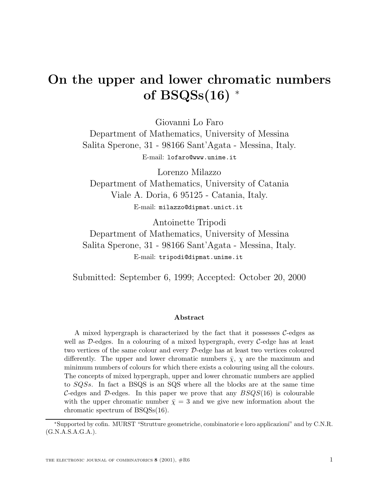# **On the upper and lower chromatic numbers of BSQSs(16)** <sup>∗</sup>

Giovanni Lo Faro Department of Mathematics, University of Messina Salita Sperone, 31 - 98166 Sant'Agata - Messina, Italy. E-mail: lofaro@www.unime.it

Lorenzo Milazzo Department of Mathematics, University of Catania Viale A. Doria, 6 95125 - Catania, Italy. E-mail: milazzo@dipmat.unict.it

Antoinette Tripodi Department of Mathematics, University of Messina Salita Sperone, 31 - 98166 Sant'Agata - Messina, Italy. E-mail: tripodi@dipmat.unime.it

Submitted: September 6, 1999; Accepted: October 20, 2000

#### **Abstract**

A mixed hypergraph is characterized by the fact that it possesses  $C$ -edges as well as  $D$ -edges. In a colouring of a mixed hypergraph, every  $C$ -edge has at least two vertices of the same colour and every D-edge has at least two vertices coloured differently. The upper and lower chromatic numbers  $\bar{\chi}$ ,  $\chi$  are the maximum and minimum numbers of colours for which there exists a colouring using all the colours. The concepts of mixed hypergraph, upper and lower chromatic numbers are applied to SQSs. In fact a BSQS is an SQS where all the blocks are at the same time C-edges and D-edges. In this paper we prove that any  $BSQS(16)$  is colourable with the upper chromatic number  $\bar{\chi} = 3$  and we give new information about the chromatic spectrum of BSQSs(16).

<sup>∗</sup>Supported by cofin. MURST "Strutture geometriche, combinatorie e loro applicazioni" and by C.N.R. (G.N.A.S.A.G.A.).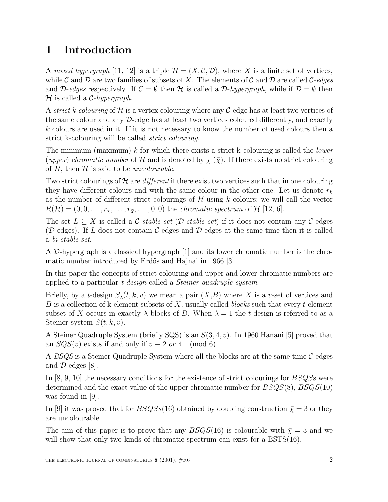## **1 Introduction**

A mixed hypergraph [11, 12] is a triple  $\mathcal{H} = (X, \mathcal{C}, \mathcal{D})$ , where X is a finite set of vertices, while C and D are two families of subsets of X. The elements of C and D are called C-edges and D-edges respectively. If  $\mathcal{C} = \emptyset$  then H is called a D-hypergraph, while if  $\mathcal{D} = \emptyset$  then  $H$  is called a *C*-hypergraph.

A strict k-colouring of H is a vertex colouring where any C-edge has at least two vertices of the same colour and any D-edge has at least two vertices coloured differently, and exactly k colours are used in it. If it is not necessary to know the number of used colours then a strict k-colouring will be called strict colouring.

The minimum (maximum) k for which there exists a strict k-colouring is called the *lower* (upper) chromatic number of H and is denoted by  $\chi(\bar{\chi})$ . If there exists no strict colouring of  $H$ , then  $H$  is said to be *uncolourable*.

Two strict colourings of  $H$  are *different* if there exist two vertices such that in one colouring they have different colours and with the same colour in the other one. Let us denote  $r_k$ as the number of different strict colourings of  $\mathcal H$  using k colours; we will call the vector  $R(\mathcal{H}) = (0, 0, \ldots, r_{\chi}, \ldots, r_{\bar{\chi}}, \ldots, 0, 0)$  the chromatic spectrum of  $\mathcal{H}$  [12, 6].

The set  $L \subseteq X$  is called a C-stable set (D-stable set) if it does not contain any C-edges (D-edges). If L does not contain C-edges and D-edges at the same time then it is called a bi-stable set.

A D-hypergraph is a classical hypergraph [1] and its lower chromatic number is the chromatic number introduced by Erdős and Hajnal in 1966 [3].

In this paper the concepts of strict colouring and upper and lower chromatic numbers are applied to a particular t-design called a Steiner quadruple system.

Briefly, by a t-design  $S_{\lambda}(t, k, v)$  we mean a pair  $(X, B)$  where X is a v-set of vertices and  $B$  is a collection of k-element subsets of  $X$ , usually called blocks such that every t-element subset of X occurs in exactly  $\lambda$  blocks of B. When  $\lambda = 1$  the t-design is referred to as a Steiner system  $S(t, k, v)$ .

A Steiner Quadruple System (briefly SQS) is an  $S(3, 4, v)$ . In 1960 Hanani [5] proved that an  $SQS(v)$  exists if and only if  $v \equiv 2 \text{ or } 4 \pmod{6}$ .

A BSQS is a Steiner Quadruple System where all the blocks are at the same time  $C$ -edges and  $\mathcal{D}\text{-edges}$  [8].

In  $[8, 9, 10]$  the necessary conditions for the existence of strict colourings for  $BSQS$ s were determined and the exact value of the upper chromatic number for  $BSQS(8)$ ,  $BSQS(10)$ was found in [9].

In [9] it was proved that for  $BSQSs(16)$  obtained by doubling construction  $\bar{\chi} = 3$  or they are uncolourable.

The aim of this paper is to prove that any  $BSQS(16)$  is colourable with  $\bar{\chi} = 3$  and we will show that only two kinds of chromatic spectrum can exist for a  $BSTS(16)$ .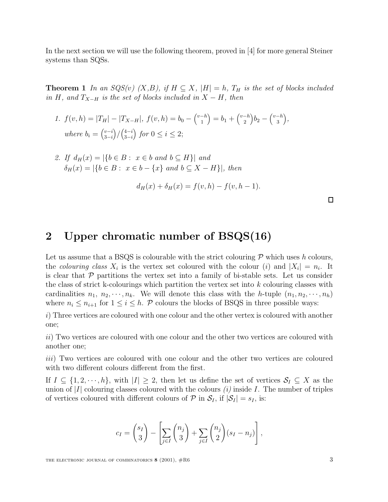In the next section we will use the following theorem, proved in [4] for more general Steiner systems than SQSs.

**Theorem 1** In an  $SQS(v)$   $(X, B)$ , if  $H \subseteq X$ ,  $|H| = h$ ,  $T_H$  is the set of blocks included in H, and  $T_{X-H}$  is the set of blocks included in  $X-H$ , then

1. 
$$
f(v, h) = |T_H| - |T_{X-H}|
$$
,  $f(v, h) = b_0 - {v-h \choose 1} = b_1 + {v-h \choose 2}b_2 - {v-h \choose 3}$ ,  
where  $b_i = {v-i \choose 3-i} / {4-i \choose 3-i}$  for  $0 \le i \le 2$ ;

2. If  $d_H(x) = |\{b \in B : x \in b \text{ and } b \subseteq H\}|$  and  $\delta_H(x) = |\{b \in B: x \in b - \{x\} \text{ and } b \subseteq X - H\}|$ , then

$$
d_H(x) + \delta_H(x) = f(v, h) - f(v, h - 1).
$$

 $\Box$ 

### **2 Upper chromatic number of BSQS(16)**

Let us assume that a BSQS is colourable with the strict colouring  $\mathcal P$  which uses h colours, the colouring class  $X_i$  is the vertex set coloured with the colour (i) and  $|X_i| = n_i$ . It is clear that  $\mathcal P$  partitions the vertex set into a family of bi-stable sets. Let us consider the class of strict k-colourings which partition the vertex set into k colouring classes with cardinalities  $n_1, n_2, \dots, n_k$ . We will denote this class with the h-tuple  $(n_1, n_2, \dots, n_h)$ where  $n_i \leq n_{i+1}$  for  $1 \leq i \leq h$ . P colours the blocks of BSQS in three possible ways:

i) Three vertices are coloured with one colour and the other vertex is coloured with another one;

ii) Two vertices are coloured with one colour and the other two vertices are coloured with another one;

iii) Two vertices are coloured with one colour and the other two vertices are coloured with two different colours different from the first.

If  $I \subseteq \{1, 2, \dots, h\}$ , with  $|I| \geq 2$ , then let us define the set of vertices  $S_I \subseteq X$  as the union of  $|I|$  colouring classes coloured with the colours  $(i)$  inside I. The number of triples of vertices coloured with different colours of  $P$  in  $S_I$ , if  $|S_I| = s_I$ , is:

$$
c_I = {s_I \choose 3} - \left[\sum_{j \in I} {n_j \choose 3} + \sum_{j \in I} {n_j \choose 2} (s_I - n_j)\right],
$$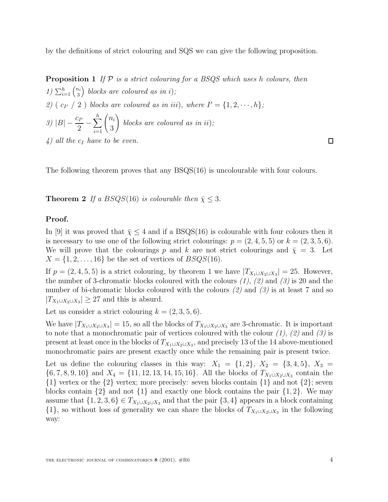by the definitions of strict colouring and SQS we can give the following proposition.

**Proposition 1** If  $P$  is a strict colouring for a BSQS which uses h colours, then  $1)\sum_{i=1}^h\binom{n_i}{3}$ 3 blocks are coloured as in i); 2) (  $c_{I'}$  / 2 ) blocks are coloured as in iii), where  $I' = \{1, 2, \dots, h\}$ ; 3)  $|B| - \frac{c_{I'}}{2} - \sum_{i=1}^{h} \binom{n_i}{3}$ 3 ! blocks are coloured as in ii); 4) all the  $c_I$  have to be even.

The following theorem proves that any BSQS(16) is uncolourable with four colours.

**Theorem 2** If a  $BSQS(16)$  is colourable then  $\bar{\chi} \leq 3$ .

#### **Proof.**

In [9] it was proved that  $\bar{\chi} \leq 4$  and if a BSQS(16) is colourable with four colours then it is necessary to use one of the following strict colourings:  $p = (2, 4, 5, 5)$  or  $k = (2, 3, 5, 6)$ . We will prove that the colourings p and k are not strict colourings and  $\bar{\chi} = 3$ . Let  $X = \{1, 2, \ldots, 16\}$  be the set of vertices of  $BSQS(16)$ .

If  $p = (2, 4, 5, 5)$  is a strict colouring, by theorem 1 we have  $|T_{X_1 \cup X_2 \cup X_3}| = 25$ . However, the number of 3-chromatic blocks coloured with the colours  $(1)$ ,  $(2)$  and  $(3)$  is 20 and the number of bi-chromatic blocks coloured with the colours  $(2)$  and  $(3)$  is at least 7 and so  $|T_{X_1\cup X_2\cup X_3}|\geq 27$  and this is absurd.

Let us consider a strict colouring  $k = (2, 3, 5, 6)$ .

We have  $|T_{X_1\cup X_2\cup X_3}| = 15$ , so all the blocks of  $T_{X_1\cup X_2\cup X_3}$  are 3-chromatic. It is important to note that a monochromatic pair of vertices coloured with the colour  $(1)$ ,  $(2)$  and  $(3)$  is present at least once in the blocks of  $T_{X_1\cup X_2\cup X_3}$ , and precisely 13 of the 14 above-mentioned monochromatic pairs are present exactly once while the remaining pair is present twice.

Let us define the colouring classes in this way:  $X_1 = \{1,2\}, X_2 = \{3,4,5\}, X_3 =$  $\{6, 7, 8, 9, 10\}$  and  $X_4 = \{11, 12, 13, 14, 15, 16\}$ . All the blocks of  $T_{X_1 \cup X_2 \cup X_3}$  contain the  $\{1\}$  vertex or the  $\{2\}$  vertex; more precisely: seven blocks contain  $\{1\}$  and not  $\{2\}$ ; seven blocks contain  $\{2\}$  and not  $\{1\}$  and exactly one block contains the pair  $\{1, 2\}$ . We may assume that  $\{1, 2, 3, 6\} \in T_{X_1 \cup X_2 \cup X_3}$  and that the pair  $\{3, 4\}$  appears in a block containing  $\{1\}$ , so without loss of generality we can share the blocks of  $T_{X_1\cup X_2\cup X_3}$  in the following way: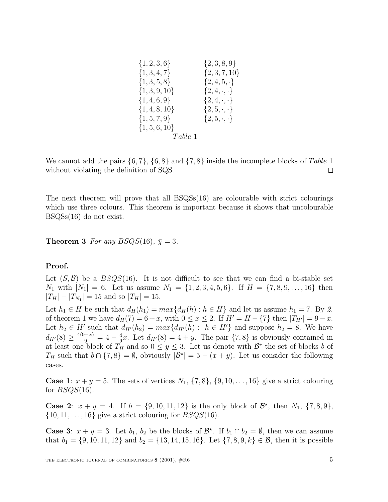| $\{1, 2, 3, 6\}$  | $\{2,3,8,9\}$            |
|-------------------|--------------------------|
| $\{1,3,4,7\}$     | $\{2, 3, 7, 10\}$        |
| $\{1,3,5,8\}$     | $\{2,4,5,\cdot\}$        |
| $\{1, 3, 9, 10\}$ | $\{2, 4, \cdot, \cdot\}$ |
| $\{1,4,6,9\}$     | $\{2, 4, \cdot, \cdot\}$ |
| $\{1, 4, 8, 10\}$ | $\{2, 5, \cdot, \cdot\}$ |
| $\{1, 5, 7, 9\}$  | $\{2,5,\cdot,\cdot\}$    |
| $\{1, 5, 6, 10\}$ |                          |
| Table~1           |                          |

We cannot add the pairs  $\{6, 7\}$ ,  $\{6, 8\}$  and  $\{7, 8\}$  inside the incomplete blocks of Table 1 without violating the definition of SQS.  $\Box$ 

The next theorem will prove that all  $BSQSS(16)$  are colourable with strict colourings which use three colours. This theorem is important because it shows that uncolourable BSQSs(16) do not exist.

**Theorem 3** For any  $BSQS(16)$ ,  $\bar{\chi} = 3$ .

### **Proof.**

Let  $(S, \mathcal{B})$  be a  $BSQS(16)$ . It is not difficult to see that we can find a bi-stable set  $N_1$  with  $|N_1| = 6$ . Let us assume  $N_1 = \{1, 2, 3, 4, 5, 6\}$ . If  $H = \{7, 8, 9, \ldots, 16\}$  then  $|T_H| - |T_{N_1}| = 15$  and so  $|T_H| = 15$ .

Let  $h_1 \in H$  be such that  $d_H(h_1) = max{d_H(h) : h \in H}$  and let us assume  $h_1 = 7$ . By 2. of theorem 1 we have  $d_H(7) = 6 + x$ , with  $0 \le x \le 2$ . If  $H' = H - \{7\}$  then  $|T_{H'}| = 9 - x$ . Let  $h_2 \in H'$  such that  $d_{H'}(h_2) = max{d_{H'}(h) : h \in H'}$  and suppose  $h_2 = 8$ . We have  $d_{H'}(8) \ge \frac{4(9-x)}{9} = 4 - \frac{4}{9}x$ . Let  $d_{H'}(8) = 4 + y$ . The pair  $\{7, 8\}$  is obviously contained in at least one block of  $T_H$  and so  $0 \le y \le 3$ . Let us denote with  $\mathcal{B}^*$  the set of blocks b of  $T_H$  such that  $b \cap \{7,8\} = \emptyset$ , obviously  $|\mathcal{B}^{\star}| = 5 - (x + y)$ . Let us consider the following cases.

**Case 1**:  $x + y = 5$ . The sets of vertices  $N_1$ ,  $\{7, 8\}$ ,  $\{9, 10, \ldots, 16\}$  give a strict colouring for  $BSQS(16)$ .

**Case 2**:  $x + y = 4$ . If  $b = \{9, 10, 11, 12\}$  is the only block of  $\mathcal{B}^*$ , then  $N_1$ ,  $\{7, 8, 9\}$ ,  $\{10, 11, \ldots, 16\}$  give a strict colouring for  $BSQS(16)$ .

**Case 3**:  $x + y = 3$ . Let  $b_1$ ,  $b_2$  be the blocks of  $\mathcal{B}^*$ . If  $b_1 \cap b_2 = \emptyset$ , then we can assume that  $b_1 = \{9, 10, 11, 12\}$  and  $b_2 = \{13, 14, 15, 16\}$ . Let  $\{7, 8, 9, k\} \in \mathcal{B}$ , then it is possible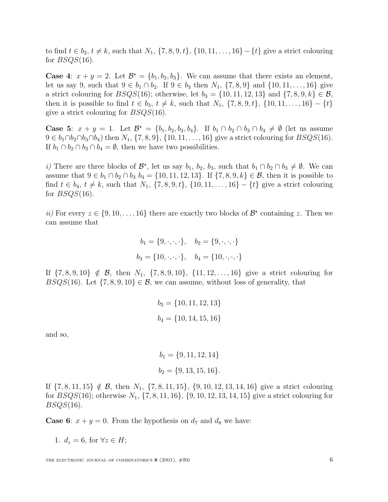to find  $t \in b_2$ ,  $t \neq k$ , such that  $N_1$ ,  $\{7, 8, 9, t\}$ ,  $\{10, 11, ..., 16\} - \{t\}$  give a strict colouring for  $BSOS(16)$ .

**Case 4**:  $x + y = 2$ . Let  $\mathcal{B}^* = \{b_1, b_2, b_3\}$ . We can assume that there exists an element, let us say 9, such that  $9 \in b_1 \cap b_2$ . If  $9 \in b_3$  then  $N_1$ ,  $\{7, 8, 9\}$  and  $\{10, 11, \ldots, 16\}$  give a strict colouring for  $BSQS(16)$ ; otherwise, let  $b_3 = \{10, 11, 12, 13\}$  and  $\{7, 8, 9, k\} \in \mathcal{B}$ , then it is possible to find  $t \in b_3$ ,  $t \neq k$ , such that  $N_1$ ,  $\{7, 8, 9, t\}$ ,  $\{10, 11, \ldots, 16\} - \{t\}$ give a strict colouring for  $BSQS(16)$ .

**Case 5**:  $x + y = 1$ . Let  $\mathcal{B}^* = \{b_1, b_2, b_3, b_4\}$ . If  $b_1 \cap b_2 \cap b_3 \cap b_4 \neq \emptyset$  (let us assume  $9 \in b_1 \cap b_2 \cap b_3 \cap b_4$ ) then  $N_1$ ,  $\{7, 8, 9\}$ ,  $\{10, 11, ..., 16\}$  give a strict colouring for  $BSQS(16)$ . If  $b_1 \cap b_2 \cap b_3 \cap b_4 = \emptyset$ , then we have two possibilities.

i) There are three blocks of  $\mathcal{B}^*$ , let us say  $b_1$ ,  $b_2$ ,  $b_3$ , such that  $b_1 \cap b_2 \cap b_3 \neq \emptyset$ . We can assume that  $9 \in b_1 \cap b_2 \cap b_3$   $b_4 = \{10, 11, 12, 13\}$ . If  $\{7, 8, 9, k\} \in \mathcal{B}$ , then it is possible to find  $t \in b_4$ ,  $t \neq k$ , such that  $N_1$ ,  $\{7, 8, 9, t\}$ ,  $\{10, 11, \ldots, 16\} - \{t\}$  give a strict colouring for  $BSQS(16)$ .

ii) For every  $z \in \{9, 10, \ldots, 16\}$  there are exactly two blocks of  $\mathcal{B}^*$  containing z. Then we can assume that

$$
b_1 = \{9, \cdot, \cdot, \cdot\}, \quad b_2 = \{9, \cdot, \cdot, \cdot\}
$$
  
 $b_3 = \{10, \cdot, \cdot, \cdot\}, \quad b_4 = \{10, \cdot, \cdot, \cdot\}$ 

If  $\{7, 8, 9, 10\} \notin \mathcal{B}$ , then  $N_1$ ,  $\{7, 8, 9, 10\}$ ,  $\{11, 12, \ldots, 16\}$  give a strict colouring for BSQS(16). Let  $\{7, 8, 9, 10\} \in \mathcal{B}$ , we can assume, without loss of generality, that

$$
b_3 = \{10, 11, 12, 13\}
$$
  

$$
b_4 = \{10, 14, 15, 16\}
$$

and so,

$$
b_1 = \{9, 11, 12, 14\}
$$

$$
b_2 = \{9, 13, 15, 16\}.
$$

If  $\{7, 8, 11, 15\} \notin \mathcal{B}$ , then  $N_1$ ,  $\{7, 8, 11, 15\}$ ,  $\{9, 10, 12, 13, 14, 16\}$  give a strict colouring for  $BSQS(16)$ ; otherwise  $N_1$ ,  $\{7, 8, 11, 16\}$ ,  $\{9, 10, 12, 13, 14, 15\}$  give a strict colouring for  $BSQS(16)$ .

**Case 6**:  $x + y = 0$ . From the hypothesis on  $d_7$  and  $d_8$  we have:

1.  $d_z = 6$ , for  $\forall z \in H$ ;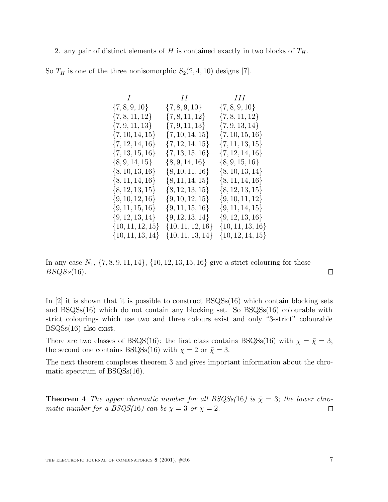2. any pair of distinct elements of H is contained exactly in two blocks of  $T_H$ .

|  |  |  |  |  |  |  | So $T_H$ is one of the three nonisomorphic $S_2(2,4,10)$ designs [7]. |  |  |  |  |  |  |  |
|--|--|--|--|--|--|--|-----------------------------------------------------------------------|--|--|--|--|--|--|--|
|--|--|--|--|--|--|--|-----------------------------------------------------------------------|--|--|--|--|--|--|--|

| II                   | III                  |
|----------------------|----------------------|
| $\{7, 8, 9, 10\}$    | $\{7, 8, 9, 10\}$    |
| $\{7, 8, 11, 12\}$   | $\{7, 8, 11, 12\}$   |
| $\{7, 9, 11, 13\}$   | $\{7, 9, 13, 14\}$   |
| $\{7, 10, 14, 15\}$  | $\{7, 10, 15, 16\}$  |
| $\{7, 12, 14, 15\}$  | $\{7, 11, 13, 15\}$  |
| $\{7, 13, 15, 16\}$  | $\{7, 12, 14, 16\}$  |
| $\{8, 9, 14, 16\}$   | $\{8, 9, 15, 16\}$   |
| $\{8, 10, 11, 16\}$  | $\{8, 10, 13, 14\}$  |
| $\{8, 11, 14, 15\}$  | $\{8, 11, 14, 16\}$  |
| $\{8, 12, 13, 15\}$  | $\{8, 12, 13, 15\}$  |
| $\{9, 10, 12, 15\}$  | $\{9, 10, 11, 12\}$  |
| $\{9, 11, 15, 16\}$  | $\{9, 11, 14, 15\}$  |
| $\{9, 12, 13, 14\}$  | $\{9, 12, 13, 16\}$  |
| $\{10, 11, 12, 16\}$ | $\{10, 11, 13, 16\}$ |
| $\{10, 11, 13, 14\}$ | $\{10, 12, 14, 15\}$ |
|                      |                      |

In any case  $N_1$ ,  $\{7, 8, 9, 11, 14\}$ ,  $\{10, 12, 13, 15, 16\}$  give a strict colouring for these  $BSQSs(16)$ .

In  $[2]$  it is shown that it is possible to construct  $BSQSS(16)$  which contain blocking sets and BSQSs(16) which do not contain any blocking set. So BSQSs(16) colourable with strict colourings which use two and three colours exist and only "3-strict" colourable BSQSs(16) also exist.

There are two classes of BSQS(16): the first class contains BSQSs(16) with  $\chi = \bar{\chi} = 3$ ; the second one contains BSQSs(16) with  $\chi = 2$  or  $\bar{\chi} = 3$ .

The next theorem completes theorem 3 and gives important information about the chromatic spectrum of BSQSs(16).

**Theorem 4** The upper chromatic number for all  $BSQSS(16)$  is  $\bar{\chi} = 3$ ; the lower chromatic number for a  $BSQS(16)$  can be  $\chi = 3$  or  $\chi = 2$ .  $\Box$ 

 $\Box$